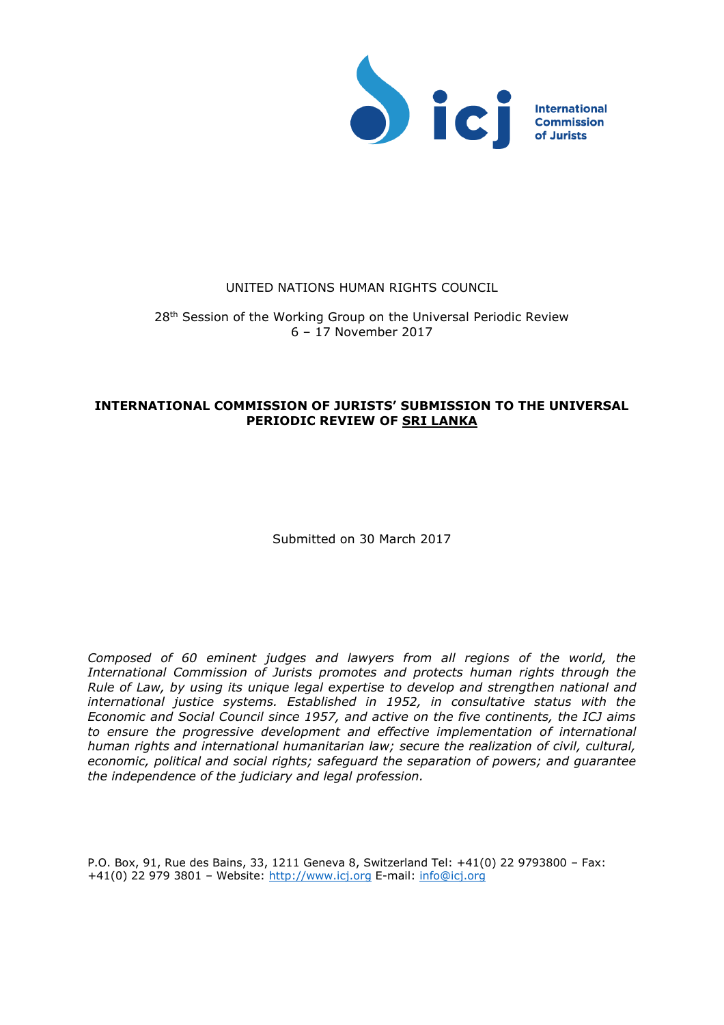

#### UNITED NATIONS HUMAN RIGHTS COUNCIL

28<sup>th</sup> Session of the Working Group on the Universal Periodic Review 6 – 17 November 2017

#### **INTERNATIONAL COMMISSION OF JURISTS' SUBMISSION TO THE UNIVERSAL PERIODIC REVIEW OF SRI LANKA**

Submitted on 30 March 2017

*Composed of 60 eminent judges and lawyers from all regions of the world, the International Commission of Jurists promotes and protects human rights through the Rule of Law, by using its unique legal expertise to develop and strengthen national and international justice systems. Established in 1952, in consultative status with the Economic and Social Council since 1957, and active on the five continents, the ICJ aims to ensure the progressive development and effective implementation of international human rights and international humanitarian law; secure the realization of civil, cultural, economic, political and social rights; safeguard the separation of powers; and guarantee the independence of the judiciary and legal profession.*

P.O. Box, 91, Rue des Bains, 33, 1211 Geneva 8, Switzerland Tel: +41(0) 22 9793800 – Fax: +41(0) 22 979 3801 – Website: [http://www.icj.org](http://www.icj.org/) E-mail: [info@icj.org](mailto:info@icj.org)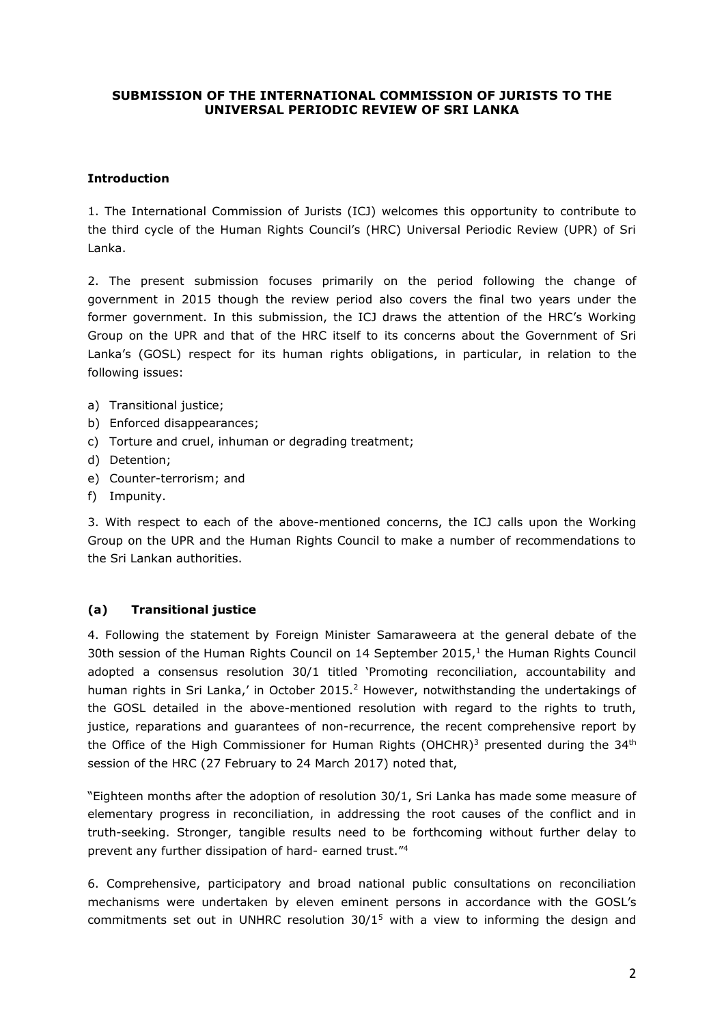## **SUBMISSION OF THE INTERNATIONAL COMMISSION OF JURISTS TO THE UNIVERSAL PERIODIC REVIEW OF SRI LANKA**

#### **Introduction**

1. The International Commission of Jurists (ICJ) welcomes this opportunity to contribute to the third cycle of the Human Rights Council's (HRC) Universal Periodic Review (UPR) of Sri Lanka.

2. The present submission focuses primarily on the period following the change of government in 2015 though the review period also covers the final two years under the former government. In this submission, the ICJ draws the attention of the HRC's Working Group on the UPR and that of the HRC itself to its concerns about the Government of Sri Lanka's (GOSL) respect for its human rights obligations, in particular, in relation to the following issues:

- a) Transitional justice;
- b) Enforced disappearances;
- c) Torture and cruel, inhuman or degrading treatment;
- d) Detention;
- e) Counter-terrorism; and
- f) Impunity.

3. With respect to each of the above-mentioned concerns, the ICJ calls upon the Working Group on the UPR and the Human Rights Council to make a number of recommendations to the Sri Lankan authorities.

## **(a) Transitional justice**

4. Following the statement by Foreign Minister Samaraweera at the general debate of the 30th session of the Human Rights Council on 14 September 2015, 1 the Human Rights Council adopted a consensus resolution 30/1 titled 'Promoting reconciliation, accountability and human rights in Sri Lanka,' in October 2015.<sup>2</sup> However, notwithstanding the undertakings of the GOSL detailed in the above-mentioned resolution with regard to the rights to truth, justice, reparations and guarantees of non-recurrence, the recent comprehensive report by the Office of the High Commissioner for Human Rights (OHCHR)<sup>3</sup> presented during the  $34<sup>th</sup>$ session of the HRC (27 February to 24 March 2017) noted that,

"Eighteen months after the adoption of resolution 30/1, Sri Lanka has made some measure of elementary progress in reconciliation, in addressing the root causes of the conflict and in truth-seeking. Stronger, tangible results need to be forthcoming without further delay to prevent any further dissipation of hard- earned trust."<sup>4</sup>

6. Comprehensive, participatory and broad national public consultations on reconciliation mechanisms were undertaken by eleven eminent persons in accordance with the GOSL's commitments set out in UNHRC resolution  $30/1<sup>5</sup>$  with a view to informing the design and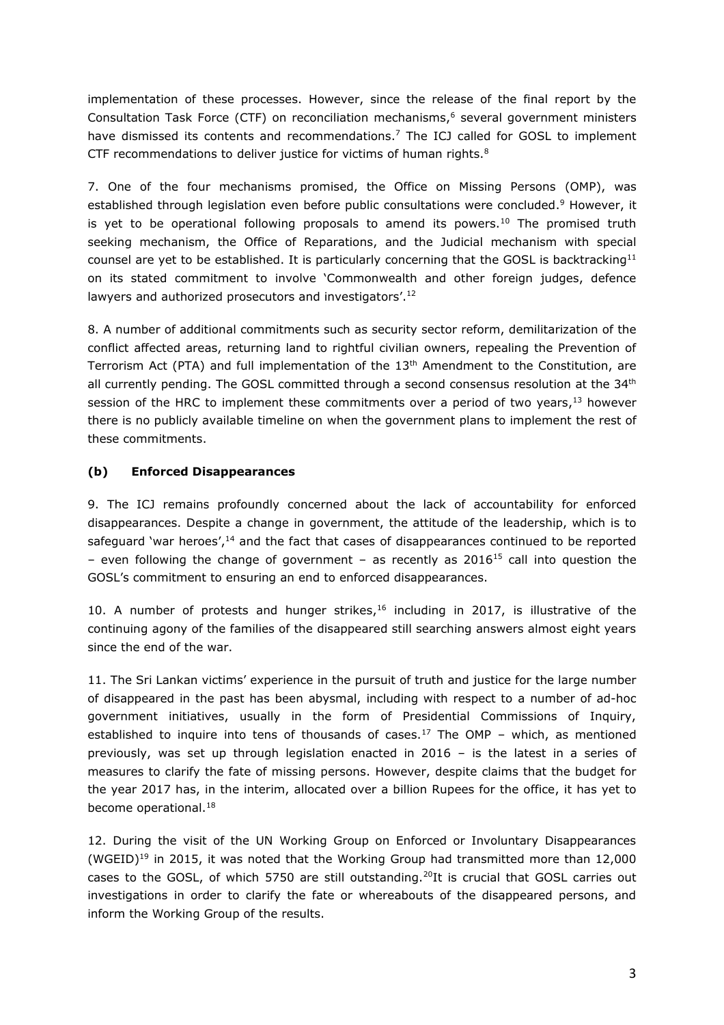implementation of these processes. However, since the release of the final report by the Consultation Task Force (CTF) on reconciliation mechanisms, <sup>6</sup> several government ministers have dismissed its contents and recommendations.<sup>7</sup> The ICJ called for GOSL to implement CTF recommendations to deliver justice for victims of human rights.<sup>8</sup>

7. One of the four mechanisms promised, the Office on Missing Persons (OMP), was established through legislation even before public consultations were concluded.<sup>9</sup> However, it is yet to be operational following proposals to amend its powers.<sup>10</sup> The promised truth seeking mechanism, the Office of Reparations, and the Judicial mechanism with special counsel are yet to be established. It is particularly concerning that the GOSL is backtracking $11$ on its stated commitment to involve 'Commonwealth and other foreign judges, defence lawyers and authorized prosecutors and investigators'.<sup>12</sup>

8. A number of additional commitments such as security sector reform, demilitarization of the conflict affected areas, returning land to rightful civilian owners, repealing the Prevention of Terrorism Act (PTA) and full implementation of the 13<sup>th</sup> Amendment to the Constitution, are all currently pending. The GOSL committed through a second consensus resolution at the 34<sup>th</sup> session of the HRC to implement these commitments over a period of two years, <sup>13</sup> however there is no publicly available timeline on when the government plans to implement the rest of these commitments.

## **(b) Enforced Disappearances**

9. The ICJ remains profoundly concerned about the lack of accountability for enforced disappearances. Despite a change in government, the attitude of the leadership, which is to safeguard 'war heroes',<sup>14</sup> and the fact that cases of disappearances continued to be reported – even following the change of government – as recently as  $2016^{15}$  call into question the GOSL's commitment to ensuring an end to enforced disappearances.

10. A number of protests and hunger strikes,<sup>16</sup> including in 2017, is illustrative of the continuing agony of the families of the disappeared still searching answers almost eight years since the end of the war.

11. The Sri Lankan victims' experience in the pursuit of truth and justice for the large number of disappeared in the past has been abysmal, including with respect to a number of ad-hoc government initiatives, usually in the form of Presidential Commissions of Inquiry, established to inquire into tens of thousands of cases.<sup>17</sup> The OMP - which, as mentioned previously, was set up through legislation enacted in 2016 – is the latest in a series of measures to clarify the fate of missing persons. However, despite claims that the budget for the year 2017 has, in the interim, allocated over a billion Rupees for the office, it has yet to become operational.<sup>18</sup>

12. During the visit of the UN Working Group on Enforced or Involuntary Disappearances (WGEID)<sup>19</sup> in 2015, it was noted that the Working Group had transmitted more than  $12,000$ cases to the GOSL, of which 5750 are still outstanding.<sup>20</sup>It is crucial that GOSL carries out investigations in order to clarify the fate or whereabouts of the disappeared persons, and inform the Working Group of the results.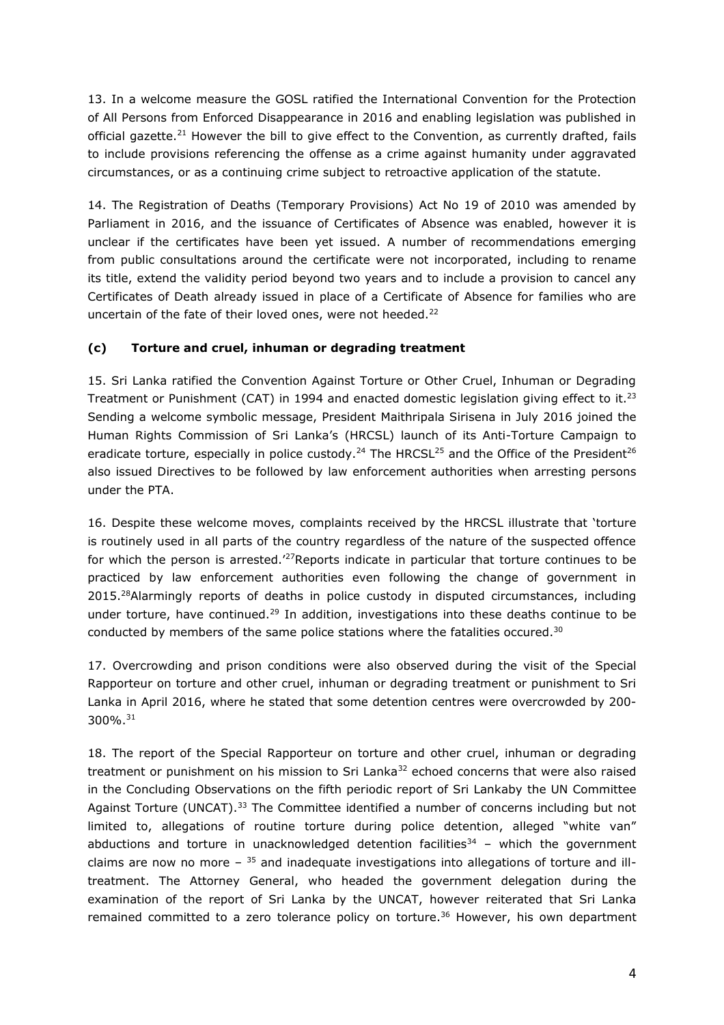13. In a welcome measure the GOSL ratified the International Convention for the Protection of All Persons from Enforced Disappearance in 2016 and enabling legislation was published in official gazette.<sup>21</sup> However the bill to give effect to the Convention, as currently drafted, fails to include provisions referencing the offense as a crime against humanity under aggravated circumstances, or as a continuing crime subject to retroactive application of the statute.

14. The Registration of Deaths (Temporary Provisions) Act No 19 of 2010 was amended by Parliament in 2016, and the issuance of Certificates of Absence was enabled, however it is unclear if the certificates have been yet issued. A number of recommendations emerging from public consultations around the certificate were not incorporated, including to rename its title, extend the validity period beyond two years and to include a provision to cancel any Certificates of Death already issued in place of a Certificate of Absence for families who are uncertain of the fate of their loved ones, were not heeded.<sup>22</sup>

## **(c) Torture and cruel, inhuman or degrading treatment**

15. Sri Lanka ratified the Convention Against Torture or Other Cruel, Inhuman or Degrading Treatment or Punishment (CAT) in 1994 and enacted domestic legislation giving effect to it.<sup>23</sup> Sending a welcome symbolic message, President Maithripala Sirisena in July 2016 joined the Human Rights Commission of Sri Lanka's (HRCSL) launch of its Anti-Torture Campaign to eradicate torture, especially in police custody.<sup>24</sup> The HRCSL<sup>25</sup> and the Office of the President<sup>26</sup> also issued Directives to be followed by law enforcement authorities when arresting persons under the PTA.

16. Despite these welcome moves, complaints received by the HRCSL illustrate that 'torture is routinely used in all parts of the country regardless of the nature of the suspected offence for which the person is arrested.<sup>'27</sup>Reports indicate in particular that torture continues to be practiced by law enforcement authorities even following the change of government in 2015.<sup>28</sup>Alarmingly reports of deaths in police custody in disputed circumstances, including under torture, have continued.<sup>29</sup> In addition, investigations into these deaths continue to be conducted by members of the same police stations where the fatalities occured.<sup>30</sup>

17. Overcrowding and prison conditions were also observed during the visit of the Special Rapporteur on torture and other cruel, inhuman or degrading treatment or punishment to Sri Lanka in April 2016, where he stated that some detention centres were overcrowded by 200- 300%. 31

18. The report of the Special Rapporteur on torture and other cruel, inhuman or degrading treatment or punishment on his mission to Sri Lanka $32$  echoed concerns that were also raised in the Concluding Observations on the fifth periodic report of Sri Lankaby the UN Committee Against Torture (UNCAT).<sup>33</sup> The Committee identified a number of concerns including but not limited to, allegations of routine torture during police detention, alleged "white van" abductions and torture in unacknowledged detention facilities $34$  – which the government claims are now no more  $-$  <sup>35</sup> and inadequate investigations into allegations of torture and illtreatment. The Attorney General, who headed the government delegation during the examination of the report of Sri Lanka by the UNCAT, however reiterated that Sri Lanka remained committed to a zero tolerance policy on torture.<sup>36</sup> However, his own department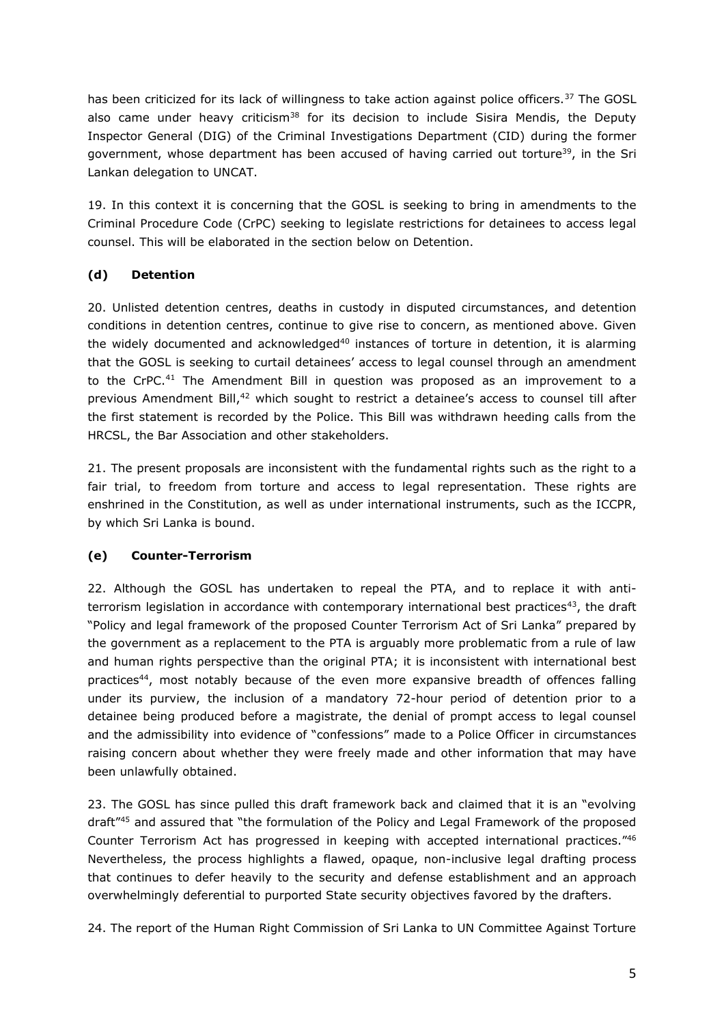has been criticized for its lack of willingness to take action against police officers.<sup>37</sup> The GOSL also came under heavy criticism $38$  for its decision to include Sisira Mendis, the Deputy Inspector General (DIG) of the Criminal Investigations Department (CID) during the former government, whose department has been accused of having carried out torture<sup>39</sup>, in the Sri Lankan delegation to UNCAT.

19. In this context it is concerning that the GOSL is seeking to bring in amendments to the Criminal Procedure Code (CrPC) seeking to legislate restrictions for detainees to access legal counsel. This will be elaborated in the section below on Detention.

# **(d) Detention**

20. Unlisted detention centres, deaths in custody in disputed circumstances, and detention conditions in detention centres, continue to give rise to concern, as mentioned above. Given the widely documented and acknowledged $40$  instances of torture in detention, it is alarming that the GOSL is seeking to curtail detainees' access to legal counsel through an amendment to the CrPC.<sup>41</sup> The Amendment Bill in question was proposed as an improvement to a previous Amendment Bill,<sup>42</sup> which sought to restrict a detainee's access to counsel till after the first statement is recorded by the Police. This Bill was withdrawn heeding calls from the HRCSL, the Bar Association and other stakeholders.

21. The present proposals are inconsistent with the fundamental rights such as the right to a fair trial, to freedom from torture and access to legal representation. These rights are enshrined in the Constitution, as well as under international instruments, such as the ICCPR, by which Sri Lanka is bound.

# **(e) Counter-Terrorism**

22. Although the GOSL has undertaken to repeal the PTA, and to replace it with antiterrorism legislation in accordance with contemporary international best practices<sup>43</sup>, the draft "Policy and legal framework of the proposed Counter Terrorism Act of Sri Lanka" prepared by the government as a replacement to the PTA is arguably more problematic from a rule of law and human rights perspective than the original PTA; it is inconsistent with international best practices<sup>44</sup>, most notably because of the even more expansive breadth of offences falling under its purview, the inclusion of a mandatory 72-hour period of detention prior to a detainee being produced before a magistrate, the denial of prompt access to legal counsel and the admissibility into evidence of "confessions" made to a Police Officer in circumstances raising concern about whether they were freely made and other information that may have been unlawfully obtained.

23. The GOSL has since pulled this draft framework back and claimed that it is an "evolving draft<sup>"45</sup> and assured that "the formulation of the Policy and Legal Framework of the proposed Counter Terrorism Act has progressed in keeping with accepted international practices."46 Nevertheless, the process highlights a flawed, opaque, non-inclusive legal drafting process that continues to defer heavily to the security and defense establishment and an approach overwhelmingly deferential to purported State security objectives favored by the drafters.

24. The report of the Human Right Commission of Sri Lanka to UN Committee Against Torture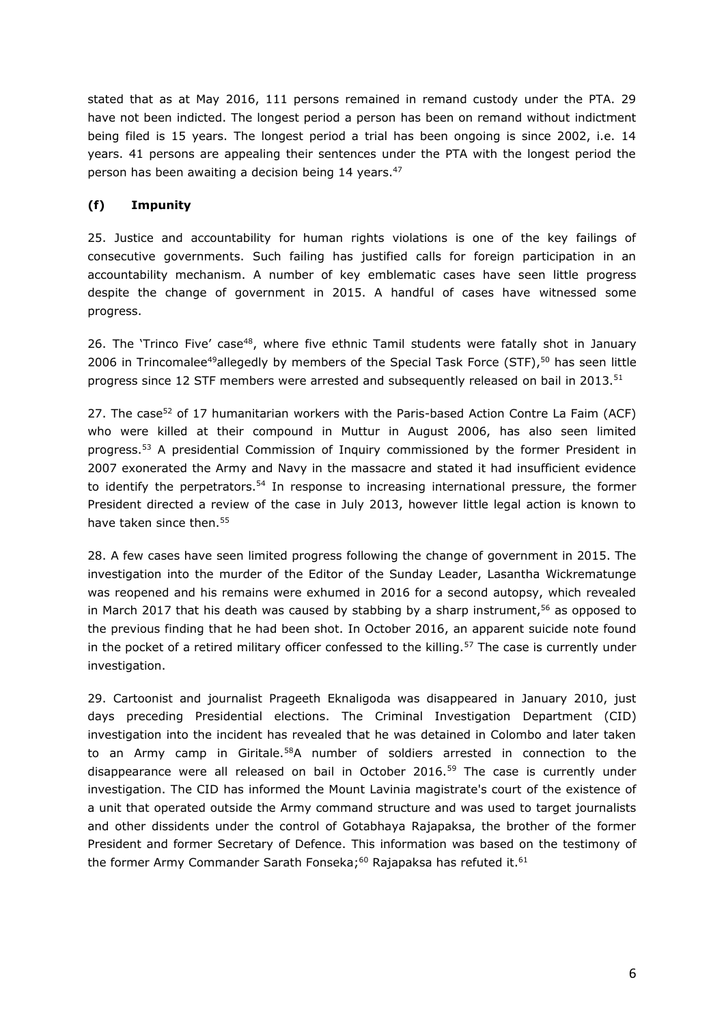stated that as at May 2016, 111 persons remained in remand custody under the PTA. 29 have not been indicted. The longest period a person has been on remand without indictment being filed is 15 years. The longest period a trial has been ongoing is since 2002, i.e. 14 years. 41 persons are appealing their sentences under the PTA with the longest period the person has been awaiting a decision being 14 years.<sup>47</sup>

## **(f) Impunity**

25. Justice and accountability for human rights violations is one of the key failings of consecutive governments. Such failing has justified calls for foreign participation in an accountability mechanism. A number of key emblematic cases have seen little progress despite the change of government in 2015. A handful of cases have witnessed some progress.

26. The 'Trinco Five' case<sup>48</sup>, where five ethnic Tamil students were fatally shot in January 2006 in Trincomalee<sup>49</sup>allegedly by members of the Special Task Force (STF),<sup>50</sup> has seen little progress since 12 STF members were arrested and subsequently released on bail in 2013.<sup>51</sup>

27. The case<sup>52</sup> of 17 humanitarian workers with the Paris-based Action Contre La Faim (ACF) who were killed at their compound in Muttur in August 2006, has also seen limited progress.<sup>53</sup> A presidential Commission of Inquiry commissioned by the former President in 2007 exonerated the Army and Navy in the massacre and stated it had insufficient evidence to identify the perpetrators.<sup>54</sup> In response to increasing international pressure, the former President directed a review of the case in July 2013, however little legal action is known to have taken since then.<sup>55</sup>

28. A few cases have seen limited progress following the change of government in 2015. The investigation into the murder of the Editor of the Sunday Leader, Lasantha Wickrematunge was reopened and his remains were exhumed in 2016 for a second autopsy, which revealed in March 2017 that his death was caused by stabbing by a sharp instrument,<sup>56</sup> as opposed to the previous finding that he had been shot. In October 2016, an apparent suicide note found in the pocket of a retired military officer confessed to the killing.<sup>57</sup> The case is currently under investigation.

29. Cartoonist and journalist Prageeth Eknaligoda was disappeared in January 2010, just days preceding Presidential elections. The Criminal Investigation Department (CID) investigation into the incident has revealed that he was detained in Colombo and later taken to an Army camp in Giritale.<sup>58</sup>A number of soldiers arrested in connection to the disappearance were all released on bail in October 2016.<sup>59</sup> The case is currently under investigation. The CID has informed the Mount Lavinia magistrate's court of the existence of a unit that operated outside the Army command structure and was used to target journalists and other dissidents under the control of Gotabhaya Rajapaksa, the brother of the former President and former Secretary of Defence. This information was based on the testimony of the former Army Commander Sarath Fonseka;<sup>60</sup> Rajapaksa has refuted it.<sup>61</sup>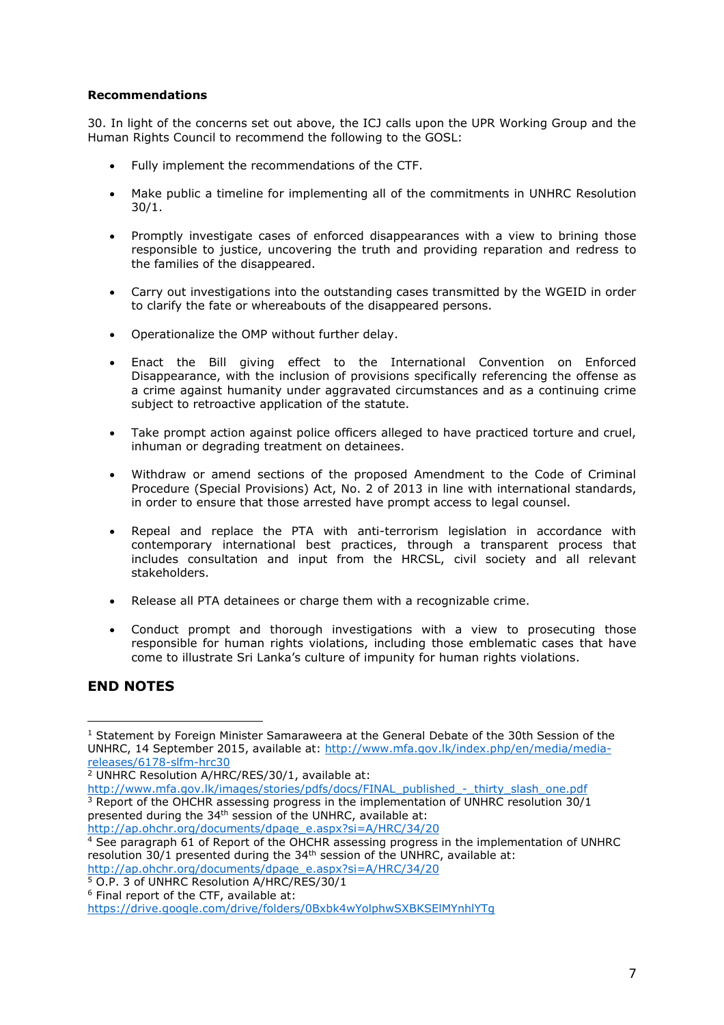#### **Recommendations**

30. In light of the concerns set out above, the ICJ calls upon the UPR Working Group and the Human Rights Council to recommend the following to the GOSL:

- Fully implement the recommendations of the CTF.
- Make public a timeline for implementing all of the commitments in UNHRC Resolution 30/1.
- Promptly investigate cases of enforced disappearances with a view to brining those responsible to justice, uncovering the truth and providing reparation and redress to the families of the disappeared.
- Carry out investigations into the outstanding cases transmitted by the WGEID in order to clarify the fate or whereabouts of the disappeared persons.
- Operationalize the OMP without further delay.
- Enact the Bill giving effect to the International Convention on Enforced Disappearance, with the inclusion of provisions specifically referencing the offense as a crime against humanity under aggravated circumstances and as a continuing crime subject to retroactive application of the statute.
- Take prompt action against police officers alleged to have practiced torture and cruel, inhuman or degrading treatment on detainees.
- Withdraw or amend sections of the proposed Amendment to the Code of Criminal Procedure (Special Provisions) Act, No. 2 of 2013 in line with international standards, in order to ensure that those arrested have prompt access to legal counsel.
- Repeal and replace the PTA with anti-terrorism legislation in accordance with contemporary international best practices, through a transparent process that includes consultation and input from the HRCSL, civil society and all relevant stakeholders.
- Release all PTA detainees or charge them with a recognizable crime.
- Conduct prompt and thorough investigations with a view to prosecuting those responsible for human rights violations, including those emblematic cases that have come to illustrate Sri Lanka's culture of impunity for human rights violations.

# **END NOTES**

l  $1$  Statement by Foreign Minister Samaraweera at the General Debate of the 30th Session of the UNHRC, 14 September 2015, available at: [http://www.mfa.gov.lk/index.php/en/media/media](http://www.mfa.gov.lk/index.php/en/media/media-releases/6178-slfm-hrc30)[releases/6178-slfm-hrc30](http://www.mfa.gov.lk/index.php/en/media/media-releases/6178-slfm-hrc30)

<sup>2</sup> UNHRC Resolution A/HRC/RES/30/1, available at:

http://www.mfa.gov.lk/images/stories/pdfs/docs/FINAL\_published -\_thirty\_slash\_one.pdf  $3$  Report of the OHCHR assessing progress in the implementation of UNHRC resolution  $30/1$ presented during the 34<sup>th</sup> session of the UNHRC, available at: [http://ap.ohchr.org/documents/dpage\\_e.aspx?si=A/HRC/34/20](http://ap.ohchr.org/documents/dpage_e.aspx?si=A/HRC/34/20)

<sup>4</sup> See paragraph 61 of Report of the OHCHR assessing progress in the implementation of UNHRC resolution 30/1 presented during the 34th session of the UNHRC, available at: [http://ap.ohchr.org/documents/dpage\\_e.aspx?si=A/HRC/34/20](http://ap.ohchr.org/documents/dpage_e.aspx?si=A/HRC/34/20)

<sup>5</sup> O.P. 3 of UNHRC Resolution A/HRC/RES/30/1

<sup>6</sup> Final report of the CTF, available at:

<https://drive.google.com/drive/folders/0Bxbk4wYolphwSXBKSElMYnhlYTg>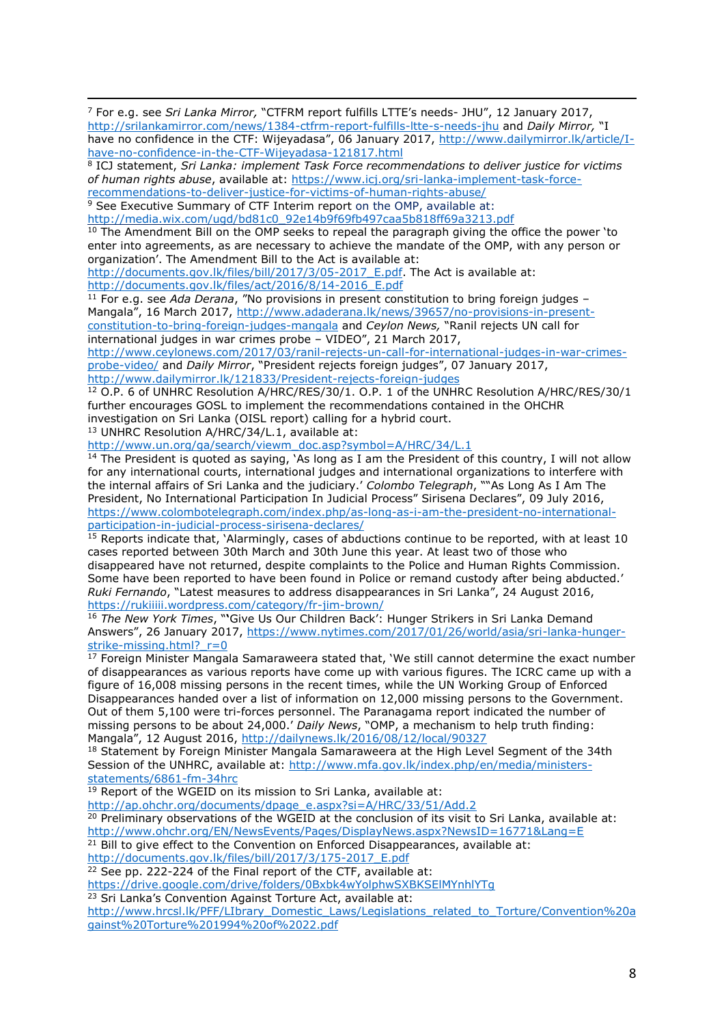i <sup>7</sup> For e.g. see *Sri Lanka Mirror,* "CTFRM report fulfills LTTE's needs- JHU", 12 January 2017, <http://srilankamirror.com/news/1384-ctfrm-report-fulfills-ltte-s-needs-jhu> and *Daily Mirror,* "I have no confidence in the CTF: Wijeyadasa", 06 January 2017, [http://www.dailymirror.lk/article/I](http://www.dailymirror.lk/article/I-have-no-confidence-in-the-CTF-Wijeyadasa-121817.html)[have-no-confidence-in-the-CTF-Wijeyadasa-121817.html](http://www.dailymirror.lk/article/I-have-no-confidence-in-the-CTF-Wijeyadasa-121817.html)

<sup>8</sup> ICJ statement, *Sri Lanka: implement Task Force recommendations to deliver justice for victims of human rights abuse*, available at: [https://www.icj.org/sri-lanka-implement-task-force](https://www.icj.org/sri-lanka-implement-task-force-recommendations-to-deliver-justice-for-victims-of-human-rights-abuse/)[recommendations-to-deliver-justice-for-victims-of-human-rights-abuse/](https://www.icj.org/sri-lanka-implement-task-force-recommendations-to-deliver-justice-for-victims-of-human-rights-abuse/)

<sup>9</sup> See Executive Summary of CTF Interim report on the OMP, available at:

[http://media.wix.com/ugd/bd81c0\\_92e14b9f69fb497caa5b818ff69a3213.pdf](http://media.wix.com/ugd/bd81c0_92e14b9f69fb497caa5b818ff69a3213.pdf)

 $10$  The Amendment Bill on the OMP seeks to repeal the paragraph giving the office the power 'to enter into agreements, as are necessary to achieve the mandate of the OMP, with any person or organization'. The Amendment Bill to the Act is available at:

[http://documents.gov.lk/files/bill/2017/3/05-2017\\_E.pdf.](http://documents.gov.lk/files/bill/2017/3/05-2017_E.pdf) The Act is available at: [http://documents.gov.lk/files/act/2016/8/14-2016\\_E.pdf](http://documents.gov.lk/files/act/2016/8/14-2016_E.pdf)

<sup>11</sup> For e.g. see *Ada Derana*, "No provisions in present constitution to bring foreign judges Mangala", 16 March 2017, [http://www.adaderana.lk/news/39657/no-provisions-in-present](http://www.adaderana.lk/news/39657/no-provisions-in-present-constitution-to-bring-foreign-judges-mangala)[constitution-to-bring-foreign-judges-mangala](http://www.adaderana.lk/news/39657/no-provisions-in-present-constitution-to-bring-foreign-judges-mangala) and *Ceylon News,* "Ranil rejects UN call for international judges in war crimes probe – VIDEO", 21 March 2017,

[http://www.ceylonews.com/2017/03/ranil-rejects-un-call-for-international-judges-in-war-crimes](http://www.ceylonews.com/2017/03/ranil-rejects-un-call-for-international-judges-in-war-crimes-probe-video/)[probe-video/](http://www.ceylonews.com/2017/03/ranil-rejects-un-call-for-international-judges-in-war-crimes-probe-video/) and *Daily Mirror*, "President rejects foreign judges", 07 January 2017, <http://www.dailymirror.lk/121833/President-rejects-foreign-judges>

<sup>12</sup> O.P. 6 of UNHRC Resolution A/HRC/RES/30/1. O.P. 1 of the UNHRC Resolution A/HRC/RES/30/1 further encourages GOSL to implement the recommendations contained in the OHCHR investigation on Sri Lanka (OISL report) calling for a hybrid court.

<sup>13</sup> UNHRC Resolution A/HRC/34/L.1, available at:

[http://www.un.org/ga/search/viewm\\_doc.asp?symbol=A/HRC/34/L.1](http://www.un.org/ga/search/viewm_doc.asp?symbol=A/HRC/34/L.1)

<sup>14</sup> The President is quoted as saying, 'As long as I am the President of this country, I will not allow for any international courts, international judges and international organizations to interfere with the internal affairs of Sri Lanka and the judiciary.' *Colombo Telegraph*, ""As Long As I Am The President, No International Participation In Judicial Process" Sirisena Declares", 09 July 2016, [https://www.colombotelegraph.com/index.php/as-long-as-i-am-the-president-no-international](https://www.colombotelegraph.com/index.php/as-long-as-i-am-the-president-no-international-participation-in-judicial-process-sirisena-declares/)[participation-in-judicial-process-sirisena-declares/](https://www.colombotelegraph.com/index.php/as-long-as-i-am-the-president-no-international-participation-in-judicial-process-sirisena-declares/)

<sup>15</sup> Reports indicate that, 'Alarmingly, cases of abductions continue to be reported, with at least 10 cases reported between 30th March and 30th June this year. At least two of those who disappeared have not returned, despite complaints to the Police and Human Rights Commission. Some have been reported to have been found in Police or remand custody after being abducted.' *Ruki Fernando*, "Latest measures to address disappearances in Sri Lanka", 24 August 2016, <https://rukiiiii.wordpress.com/category/fr-jim-brown/>

<sup>16</sup> *The New York Times*, "**'**Give Us Our Children Back': Hunger Strikers in Sri Lanka Demand Answers", 26 January 2017, [https://www.nytimes.com/2017/01/26/world/asia/sri-lanka-hunger](https://www.nytimes.com/2017/01/26/world/asia/sri-lanka-hunger-strike-missing.html?_r=0)strike-missing.html? r=0

 $17$  Foreign Minister Mangala Samaraweera stated that, 'We still cannot determine the exact number of disappearances as various reports have come up with various figures. The ICRC came up with a figure of 16,008 missing persons in the recent times, while the UN Working Group of Enforced Disappearances handed over a list of information on 12,000 missing persons to the Government. Out of them 5,100 were tri-forces personnel. The Paranagama report indicated the number of missing persons to be about 24,000.' *Daily News*, "OMP, a mechanism to help truth finding: Mangala", 12 August 2016, <http://dailynews.lk/2016/08/12/local/90327>

<sup>18</sup> Statement by Foreign Minister Mangala Samaraweera at the High Level Segment of the 34th Session of the UNHRC, available at: [http://www.mfa.gov.lk/index.php/en/media/ministers](http://www.mfa.gov.lk/index.php/en/media/ministers-statements/6861-fm-34hrc)[statements/6861-fm-34hrc](http://www.mfa.gov.lk/index.php/en/media/ministers-statements/6861-fm-34hrc)

<sup>19</sup> Report of the WGEID on its mission to Sri Lanka, available at:

[http://ap.ohchr.org/documents/dpage\\_e.aspx?si=A/HRC/33/51/Add.2](http://ap.ohchr.org/documents/dpage_e.aspx?si=A/HRC/33/51/Add.2)

<sup>20</sup> Preliminary observations of the WGEID at the conclusion of its visit to Sri Lanka, available at: <http://www.ohchr.org/EN/NewsEvents/Pages/DisplayNews.aspx?NewsID=16771&Lang=E>

 $21$  Bill to give effect to the Convention on Enforced Disappearances, available at:

[http://documents.gov.lk/files/bill/2017/3/175-2017\\_E.pdf](http://documents.gov.lk/files/bill/2017/3/175-2017_E.pdf)

 $22$  See pp. 222-224 of the Final report of the CTF, available at:

<https://drive.google.com/drive/folders/0Bxbk4wYolphwSXBKSElMYnhlYTg>

<sup>23</sup> Sri Lanka's Convention Against Torture Act, available at:

[http://www.hrcsl.lk/PFF/LIbrary\\_Domestic\\_Laws/Legislations\\_related\\_to\\_Torture/Convention%20a](http://www.hrcsl.lk/PFF/LIbrary_Domestic_Laws/Legislations_related_to_Torture/Convention%20against%20Torture%201994%20of%2022.pdf) [gainst%20Torture%201994%20of%2022.pdf](http://www.hrcsl.lk/PFF/LIbrary_Domestic_Laws/Legislations_related_to_Torture/Convention%20against%20Torture%201994%20of%2022.pdf)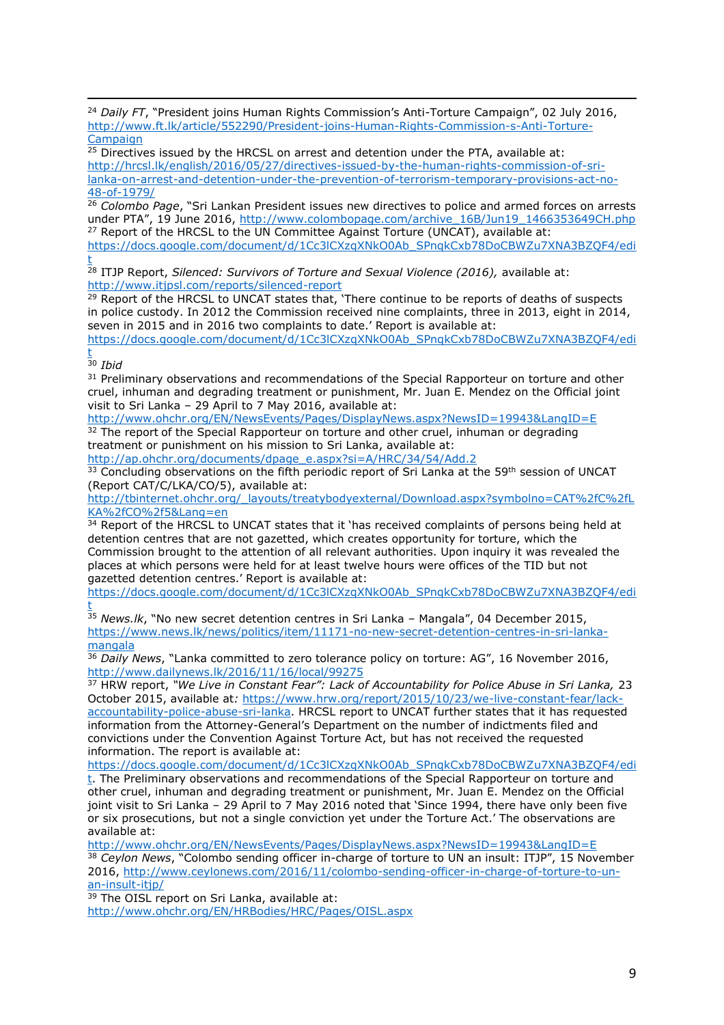i <sup>24</sup> *Daily FT*, "President joins Human Rights Commission's Anti-Torture Campaign", 02 July 2016, [http://www.ft.lk/article/552290/President-joins-Human-Rights-Commission-s-Anti-Torture-](http://www.ft.lk/article/552290/President-joins-Human-Rights-Commission-s-Anti-Torture-Campaign)[Campaign](http://www.ft.lk/article/552290/President-joins-Human-Rights-Commission-s-Anti-Torture-Campaign)

 $25$  Directives issued by the HRCSL on arrest and detention under the PTA, available at: [http://hrcsl.lk/english/2016/05/27/directives-issued-by-the-human-rights-commission-of-sri](http://hrcsl.lk/english/2016/05/27/directives-issued-by-the-human-rights-commission-of-sri-lanka-on-arrest-and-detention-under-the-prevention-of-terrorism-temporary-provisions-act-no-48-of-1979/)[lanka-on-arrest-and-detention-under-the-prevention-of-terrorism-temporary-provisions-act-no-](http://hrcsl.lk/english/2016/05/27/directives-issued-by-the-human-rights-commission-of-sri-lanka-on-arrest-and-detention-under-the-prevention-of-terrorism-temporary-provisions-act-no-48-of-1979/)[48-of-1979/](http://hrcsl.lk/english/2016/05/27/directives-issued-by-the-human-rights-commission-of-sri-lanka-on-arrest-and-detention-under-the-prevention-of-terrorism-temporary-provisions-act-no-48-of-1979/)

<sup>26</sup> *Colombo Page*, "Sri Lankan President issues new directives to police and armed forces on arrests under PTA", 19 June 2016, [http://www.colombopage.com/archive\\_16B/Jun19\\_1466353649CH.php](http://www.colombopage.com/archive_16B/Jun19_1466353649CH.php)  $27$  Report of the HRCSL to the UN Committee Against Torture (UNCAT), available at: [https://docs.google.com/document/d/1Cc3lCXzqXNkO0Ab\\_SPnqkCxb78DoCBWZu7XNA3BZQF4/edi](https://docs.google.com/document/d/1Cc3lCXzqXNkO0Ab_SPnqkCxb78DoCBWZu7XNA3BZQF4/edit)

[t](https://docs.google.com/document/d/1Cc3lCXzqXNkO0Ab_SPnqkCxb78DoCBWZu7XNA3BZQF4/edit) <sup>28</sup> ITJP Report, *Silenced: Survivors of Torture and Sexual Violence (2016),* available at: <http://www.itjpsl.com/reports/silenced-report>

<sup>29</sup> Report of the HRCSL to UNCAT states that, 'There continue to be reports of deaths of suspects in police custody. In 2012 the Commission received nine complaints, three in 2013, eight in 2014, seven in 2015 and in 2016 two complaints to date.' Report is available at:

[https://docs.google.com/document/d/1Cc3lCXzqXNkO0Ab\\_SPnqkCxb78DoCBWZu7XNA3BZQF4/edi](https://docs.google.com/document/d/1Cc3lCXzqXNkO0Ab_SPnqkCxb78DoCBWZu7XNA3BZQF4/edit) [t](https://docs.google.com/document/d/1Cc3lCXzqXNkO0Ab_SPnqkCxb78DoCBWZu7XNA3BZQF4/edit)

<sup>30</sup> *Ibid*

<sup>31</sup> Preliminary observations and recommendations of the Special Rapporteur on torture and other cruel, inhuman and degrading treatment or punishment, Mr. Juan E. Mendez on the Official joint visit to Sri Lanka – 29 April to 7 May 2016, available at:

<http://www.ohchr.org/EN/NewsEvents/Pages/DisplayNews.aspx?NewsID=19943&LangID=E> <sup>32</sup> The report of the Special Rapporteur on torture and other cruel, inhuman or degrading treatment or punishment on his mission to Sri Lanka, available at: [http://ap.ohchr.org/documents/dpage\\_e.aspx?si=A/HRC/34/54/Add.2](http://ap.ohchr.org/documents/dpage_e.aspx?si=A/HRC/34/54/Add.2)

<sup>33</sup> Concluding observations on the fifth periodic report of Sri Lanka at the 59<sup>th</sup> session of UNCAT (Report CAT/C/LKA/CO/5), available at:

[http://tbinternet.ohchr.org/\\_layouts/treatybodyexternal/Download.aspx?symbolno=CAT%2fC%2fL](http://tbinternet.ohchr.org/_layouts/treatybodyexternal/Download.aspx?symbolno=CAT%2fC%2fLKA%2fCO%2f5&Lang=en) [KA%2fCO%2f5&Lang=en](http://tbinternet.ohchr.org/_layouts/treatybodyexternal/Download.aspx?symbolno=CAT%2fC%2fLKA%2fCO%2f5&Lang=en)

<sup>34</sup> Report of the HRCSL to UNCAT states that it 'has received complaints of persons being held at detention centres that are not gazetted, which creates opportunity for torture, which the Commission brought to the attention of all relevant authorities. Upon inquiry it was revealed the places at which persons were held for at least twelve hours were offices of the TID but not gazetted detention centres.' Report is available at:

[https://docs.google.com/document/d/1Cc3lCXzqXNkO0Ab\\_SPnqkCxb78DoCBWZu7XNA3BZQF4/edi](https://docs.google.com/document/d/1Cc3lCXzqXNkO0Ab_SPnqkCxb78DoCBWZu7XNA3BZQF4/edit) [t](https://docs.google.com/document/d/1Cc3lCXzqXNkO0Ab_SPnqkCxb78DoCBWZu7XNA3BZQF4/edit)

<sup>35</sup> *News.lk*, "No new secret detention centres in Sri Lanka – Mangala", 04 December 2015, [https://www.news.lk/news/politics/item/11171-no-new-secret-detention-centres-in-sri-lanka](https://www.news.lk/news/politics/item/11171-no-new-secret-detention-centres-in-sri-lanka-mangala)[mangala](https://www.news.lk/news/politics/item/11171-no-new-secret-detention-centres-in-sri-lanka-mangala)

<sup>36</sup> Daily News, "Lanka committed to zero tolerance policy on torture: AG", 16 November 2016, <http://www.dailynews.lk/2016/11/16/local/99275>

<sup>37</sup> HRW report, *"We Live in Constant Fear": Lack of Accountability for Police Abuse in Sri Lanka,* 23 October 2015, available at*:* [https://www.hrw.org/report/2015/10/23/we-live-constant-fear/lack](https://www.hrw.org/report/2015/10/23/we-live-constant-fear/lack-accountability-police-abuse-sri-lanka)[accountability-police-abuse-sri-lanka.](https://www.hrw.org/report/2015/10/23/we-live-constant-fear/lack-accountability-police-abuse-sri-lanka) HRCSL report to UNCAT further states that it has requested information from the Attorney-General's Department on the number of indictments filed and convictions under the Convention Against Torture Act, but has not received the requested information. The report is available at:

[https://docs.google.com/document/d/1Cc3lCXzqXNkO0Ab\\_SPnqkCxb78DoCBWZu7XNA3BZQF4/edi](https://docs.google.com/document/d/1Cc3lCXzqXNkO0Ab_SPnqkCxb78DoCBWZu7XNA3BZQF4/edit)

[t.](https://docs.google.com/document/d/1Cc3lCXzqXNkO0Ab_SPnqkCxb78DoCBWZu7XNA3BZQF4/edit) The Preliminary observations and recommendations of the Special Rapporteur on torture and other cruel, inhuman and degrading treatment or punishment, Mr. Juan E. Mendez on the Official joint visit to Sri Lanka – 29 April to 7 May 2016 noted that 'Since 1994, there have only been five or six prosecutions, but not a single conviction yet under the Torture Act.' The observations are available at:

<http://www.ohchr.org/EN/NewsEvents/Pages/DisplayNews.aspx?NewsID=19943&LangID=E>

<sup>38</sup> *Ceylon News*, "Colombo sending officer in-charge of torture to UN an insult: ITJP", 15 November 2016, [http://www.ceylonews.com/2016/11/colombo-sending-officer-in-charge-of-torture-to-un](http://www.ceylonews.com/2016/11/colombo-sending-officer-in-charge-of-torture-to-un-an-insult-itjp/)[an-insult-itjp/](http://www.ceylonews.com/2016/11/colombo-sending-officer-in-charge-of-torture-to-un-an-insult-itjp/)

39 The OISL report on Sri Lanka, available at:

<http://www.ohchr.org/EN/HRBodies/HRC/Pages/OISL.aspx>